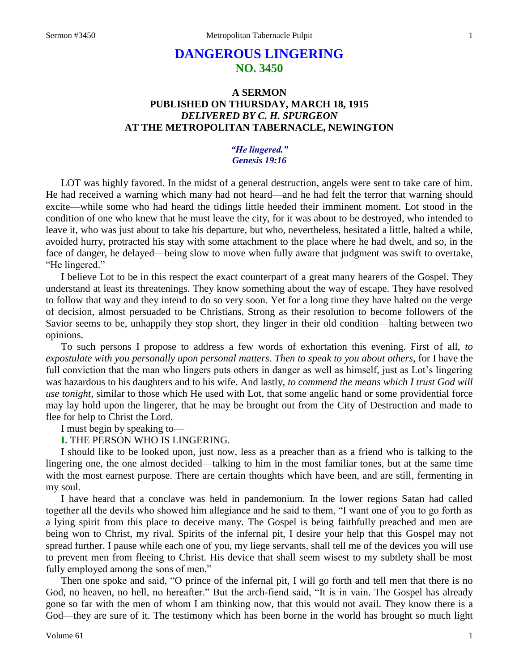# **DANGEROUS LINGERING NO. 3450**

## **A SERMON PUBLISHED ON THURSDAY, MARCH 18, 1915** *DELIVERED BY C. H. SPURGEON* **AT THE METROPOLITAN TABERNACLE, NEWINGTON**

## *"He lingered." Genesis 19:16*

LOT was highly favored. In the midst of a general destruction, angels were sent to take care of him. He had received a warning which many had not heard—and he had felt the terror that warning should excite—while some who had heard the tidings little heeded their imminent moment. Lot stood in the condition of one who knew that he must leave the city, for it was about to be destroyed, who intended to leave it, who was just about to take his departure, but who, nevertheless, hesitated a little, halted a while, avoided hurry, protracted his stay with some attachment to the place where he had dwelt, and so, in the face of danger, he delayed—being slow to move when fully aware that judgment was swift to overtake, "He lingered."

I believe Lot to be in this respect the exact counterpart of a great many hearers of the Gospel. They understand at least its threatenings. They know something about the way of escape. They have resolved to follow that way and they intend to do so very soon. Yet for a long time they have halted on the verge of decision, almost persuaded to be Christians. Strong as their resolution to become followers of the Savior seems to be, unhappily they stop short, they linger in their old condition—halting between two opinions.

To such persons I propose to address a few words of exhortation this evening. First of all, *to expostulate with you personally upon personal matters*. *Then to speak to you about others,* for I have the full conviction that the man who lingers puts others in danger as well as himself, just as Lot's lingering was hazardous to his daughters and to his wife. And lastly, *to commend the means which I trust God will use tonight,* similar to those which He used with Lot, that some angelic hand or some providential force may lay hold upon the lingerer, that he may be brought out from the City of Destruction and made to flee for help to Christ the Lord.

I must begin by speaking to—

## **I.** THE PERSON WHO IS LINGERING.

I should like to be looked upon, just now, less as a preacher than as a friend who is talking to the lingering one, the one almost decided—talking to him in the most familiar tones, but at the same time with the most earnest purpose. There are certain thoughts which have been, and are still, fermenting in my soul.

I have heard that a conclave was held in pandemonium. In the lower regions Satan had called together all the devils who showed him allegiance and he said to them, "I want one of you to go forth as a lying spirit from this place to deceive many. The Gospel is being faithfully preached and men are being won to Christ, my rival. Spirits of the infernal pit, I desire your help that this Gospel may not spread further. I pause while each one of you, my liege servants, shall tell me of the devices you will use to prevent men from fleeing to Christ. His device that shall seem wisest to my subtlety shall be most fully employed among the sons of men."

Then one spoke and said, "O prince of the infernal pit, I will go forth and tell men that there is no God, no heaven, no hell, no hereafter." But the arch-fiend said, "It is in vain. The Gospel has already gone so far with the men of whom I am thinking now, that this would not avail. They know there is a God—they are sure of it. The testimony which has been borne in the world has brought so much light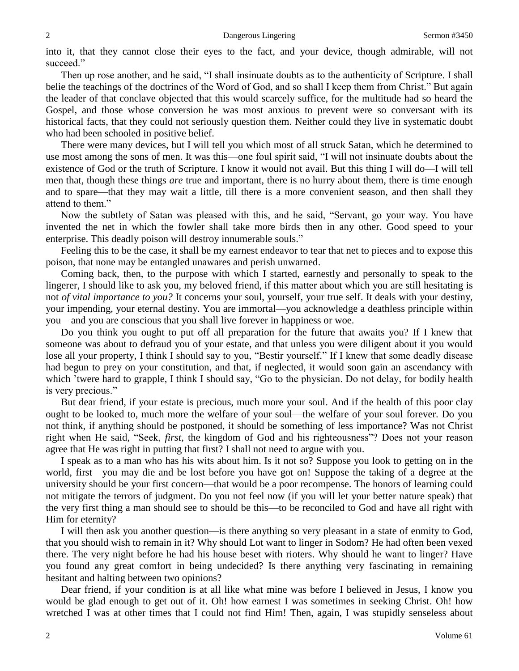into it, that they cannot close their eyes to the fact, and your device, though admirable, will not succeed."

Then up rose another, and he said, "I shall insinuate doubts as to the authenticity of Scripture. I shall belie the teachings of the doctrines of the Word of God, and so shall I keep them from Christ." But again the leader of that conclave objected that this would scarcely suffice, for the multitude had so heard the Gospel, and those whose conversion he was most anxious to prevent were so conversant with its historical facts, that they could not seriously question them. Neither could they live in systematic doubt who had been schooled in positive belief.

There were many devices, but I will tell you which most of all struck Satan, which he determined to use most among the sons of men. It was this—one foul spirit said, "I will not insinuate doubts about the existence of God or the truth of Scripture. I know it would not avail. But this thing I will do—I will tell men that, though these things *are* true and important, there is no hurry about them, there is time enough and to spare—that they may wait a little, till there is a more convenient season, and then shall they attend to them."

Now the subtlety of Satan was pleased with this, and he said, "Servant, go your way. You have invented the net in which the fowler shall take more birds then in any other. Good speed to your enterprise. This deadly poison will destroy innumerable souls."

Feeling this to be the case, it shall be my earnest endeavor to tear that net to pieces and to expose this poison, that none may be entangled unawares and perish unwarned.

Coming back, then, to the purpose with which I started, earnestly and personally to speak to the lingerer, I should like to ask you, my beloved friend, if this matter about which you are still hesitating is not *of vital importance to you?* It concerns your soul, yourself, your true self. It deals with your destiny, your impending, your eternal destiny. You are immortal—you acknowledge a deathless principle within you—and you are conscious that you shall live forever in happiness or woe.

Do you think you ought to put off all preparation for the future that awaits you? If I knew that someone was about to defraud you of your estate, and that unless you were diligent about it you would lose all your property, I think I should say to you, "Bestir yourself." If I knew that some deadly disease had begun to prey on your constitution, and that, if neglected, it would soon gain an ascendancy with which 'twere hard to grapple, I think I should say, "Go to the physician. Do not delay, for bodily health is very precious."

But dear friend, if your estate is precious, much more your soul. And if the health of this poor clay ought to be looked to, much more the welfare of your soul—the welfare of your soul forever. Do you not think, if anything should be postponed, it should be something of less importance? Was not Christ right when He said, "Seek, *first*, the kingdom of God and his righteousness"? Does not your reason agree that He was right in putting that first? I shall not need to argue with you.

I speak as to a man who has his wits about him. Is it not so? Suppose you look to getting on in the world, first—you may die and be lost before you have got on! Suppose the taking of a degree at the university should be your first concern—that would be a poor recompense. The honors of learning could not mitigate the terrors of judgment. Do you not feel now (if you will let your better nature speak) that the very first thing a man should see to should be this—to be reconciled to God and have all right with Him for eternity?

I will then ask you another question—is there anything so very pleasant in a state of enmity to God, that you should wish to remain in it? Why should Lot want to linger in Sodom? He had often been vexed there. The very night before he had his house beset with rioters. Why should he want to linger? Have you found any great comfort in being undecided? Is there anything very fascinating in remaining hesitant and halting between two opinions?

Dear friend, if your condition is at all like what mine was before I believed in Jesus, I know you would be glad enough to get out of it. Oh! how earnest I was sometimes in seeking Christ. Oh! how wretched I was at other times that I could not find Him! Then, again, I was stupidly senseless about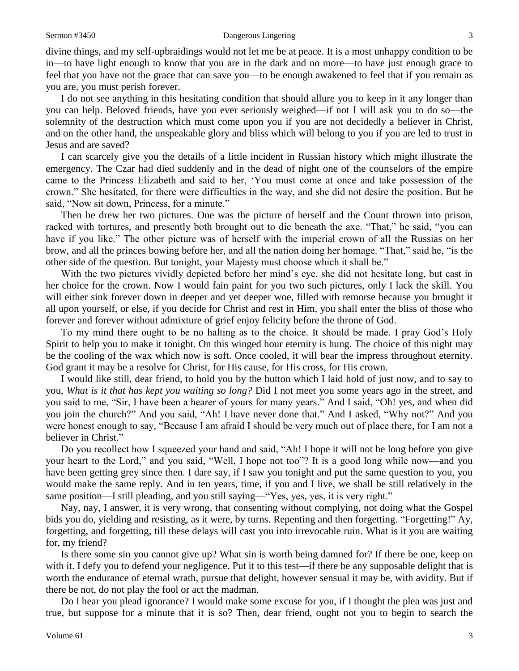divine things, and my self-upbraidings would not let me be at peace. It is a most unhappy condition to be in—to have light enough to know that you are in the dark and no more—to have just enough grace to feel that you have not the grace that can save you—to be enough awakened to feel that if you remain as you are, you must perish forever.

I do not see anything in this hesitating condition that should allure you to keep in it any longer than you can help. Beloved friends, have you ever seriously weighed—if not I will ask you to do so—the solemnity of the destruction which must come upon you if you are not decidedly a believer in Christ, and on the other hand, the unspeakable glory and bliss which will belong to you if you are led to trust in Jesus and are saved?

I can scarcely give you the details of a little incident in Russian history which might illustrate the emergency. The Czar had died suddenly and in the dead of night one of the counselors of the empire came to the Princess Elizabeth and said to her, 'You must come at once and take possession of the crown." She hesitated, for there were difficulties in the way, and she did not desire the position. But he said, "Now sit down, Princess, for a minute."

Then he drew her two pictures. One was the picture of herself and the Count thrown into prison, racked with tortures, and presently both brought out to die beneath the axe. "That," he said, "you can have if you like." The other picture was of herself with the imperial crown of all the Russias on her brow, and all the princes bowing before her, and all the nation doing her homage. "That," said he, "is the other side of the question. But tonight, your Majesty must choose which it shall be."

With the two pictures vividly depicted before her mind's eye, she did not hesitate long, but cast in her choice for the crown. Now I would fain paint for you two such pictures, only I lack the skill. You will either sink forever down in deeper and yet deeper woe, filled with remorse because you brought it all upon yourself, or else, if you decide for Christ and rest in Him, you shall enter the bliss of those who forever and forever without admixture of grief enjoy felicity before the throne of God.

To my mind there ought to be no halting as to the choice. It should be made. I pray God's Holy Spirit to help you to make it tonight. On this winged hour eternity is hung. The choice of this night may be the cooling of the wax which now is soft. Once cooled, it will bear the impress throughout eternity. God grant it may be a resolve for Christ, for His cause, for His cross, for His crown.

I would like still, dear friend, to hold you by the button which I laid hold of just now, and to say to you, *What is it that has kept you waiting so long?* Did I not meet you some years ago in the street, and you said to me, "Sir, I have been a hearer of yours for many years." And I said, "Oh! yes, and when did you join the church?" And you said, "Ah! I have never done that." And I asked, "Why not?" And you were honest enough to say, "Because I am afraid I should be very much out of place there, for I am not a believer in Christ."

Do you recollect how I squeezed your hand and said, "Ah! I hope it will not be long before you give your heart to the Lord," and you said, "Well, I hope not too"? It is a good long while now—and you have been getting grey since then. I dare say, if I saw you tonight and put the same question to you, you would make the same reply. And in ten years, time, if you and I live, we shall be still relatively in the same position—I still pleading, and you still saying—"Yes, yes, yes, it is very right."

Nay, nay, I answer, it is very wrong, that consenting without complying, not doing what the Gospel bids you do, yielding and resisting, as it were, by turns. Repenting and then forgetting. "Forgetting!" Ay, forgetting, and forgetting, till these delays will cast you into irrevocable ruin. What is it you are waiting for, my friend?

Is there some sin you cannot give up? What sin is worth being damned for? If there be one, keep on with it. I defy you to defend your negligence. Put it to this test—if there be any supposable delight that is worth the endurance of eternal wrath, pursue that delight, however sensual it may be, with avidity. But if there be not, do not play the fool or act the madman.

Do I hear you plead ignorance? I would make some excuse for you, if I thought the plea was just and true, but suppose for a minute that it is so? Then, dear friend, ought not you to begin to search the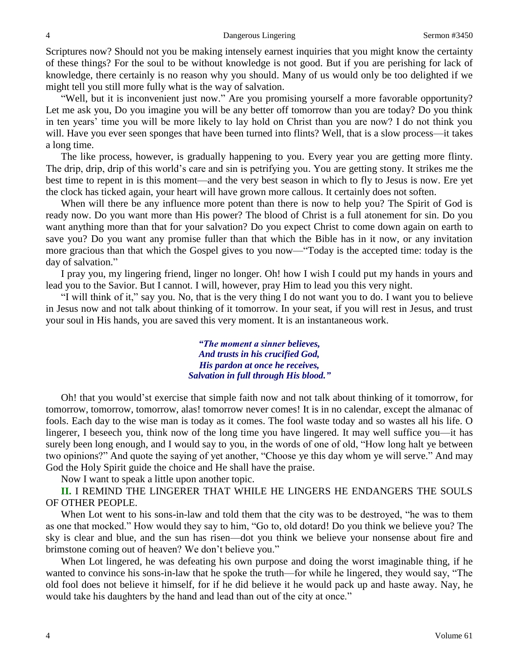Scriptures now? Should not you be making intensely earnest inquiries that you might know the certainty of these things? For the soul to be without knowledge is not good. But if you are perishing for lack of knowledge, there certainly is no reason why you should. Many of us would only be too delighted if we might tell you still more fully what is the way of salvation.

"Well, but it is inconvenient just now." Are you promising yourself a more favorable opportunity? Let me ask you, Do you imagine you will be any better off tomorrow than you are today? Do you think in ten years' time you will be more likely to lay hold on Christ than you are now? I do not think you will. Have you ever seen sponges that have been turned into flints? Well, that is a slow process—it takes a long time.

The like process, however, is gradually happening to you. Every year you are getting more flinty. The drip, drip, drip of this world's care and sin is petrifying you. You are getting stony. It strikes me the best time to repent in is this moment—and the very best season in which to fly to Jesus is now. Ere yet the clock has ticked again, your heart will have grown more callous. It certainly does not soften.

When will there be any influence more potent than there is now to help you? The Spirit of God is ready now. Do you want more than His power? The blood of Christ is a full atonement for sin. Do you want anything more than that for your salvation? Do you expect Christ to come down again on earth to save you? Do you want any promise fuller than that which the Bible has in it now, or any invitation more gracious than that which the Gospel gives to you now—"Today is the accepted time: today is the day of salvation."

I pray you, my lingering friend, linger no longer. Oh! how I wish I could put my hands in yours and lead you to the Savior. But I cannot. I will, however, pray Him to lead you this very night.

"I will think of it," say you. No, that is the very thing I do not want you to do. I want you to believe in Jesus now and not talk about thinking of it tomorrow. In your seat, if you will rest in Jesus, and trust your soul in His hands, you are saved this very moment. It is an instantaneous work.

> *"The moment a sinner believes, And trusts in his crucified God, His pardon at once he receives, Salvation in full through His blood."*

Oh! that you would'st exercise that simple faith now and not talk about thinking of it tomorrow, for tomorrow, tomorrow, tomorrow, alas! tomorrow never comes! It is in no calendar, except the almanac of fools. Each day to the wise man is today as it comes. The fool waste today and so wastes all his life. O lingerer, I beseech you, think now of the long time you have lingered. It may well suffice you—it has surely been long enough, and I would say to you, in the words of one of old, "How long halt ye between two opinions?" And quote the saying of yet another, "Choose ye this day whom ye will serve." And may God the Holy Spirit guide the choice and He shall have the praise.

Now I want to speak a little upon another topic.

**II.** I REMIND THE LINGERER THAT WHILE HE LINGERS HE ENDANGERS THE SOULS OF OTHER PEOPLE.

When Lot went to his sons-in-law and told them that the city was to be destroyed, "he was to them as one that mocked." How would they say to him, "Go to, old dotard! Do you think we believe you? The sky is clear and blue, and the sun has risen—dot you think we believe your nonsense about fire and brimstone coming out of heaven? We don't believe you."

When Lot lingered, he was defeating his own purpose and doing the worst imaginable thing, if he wanted to convince his sons-in-law that he spoke the truth—for while he lingered, they would say, "The old fool does not believe it himself, for if he did believe it he would pack up and haste away. Nay, he would take his daughters by the hand and lead than out of the city at once."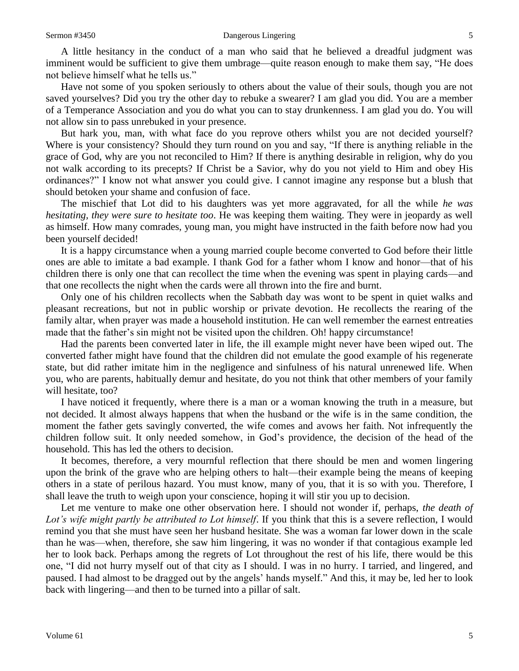A little hesitancy in the conduct of a man who said that he believed a dreadful judgment was imminent would be sufficient to give them umbrage—quite reason enough to make them say, "He does not believe himself what he tells us."

Have not some of you spoken seriously to others about the value of their souls, though you are not saved yourselves? Did you try the other day to rebuke a swearer? I am glad you did. You are a member of a Temperance Association and you do what you can to stay drunkenness. I am glad you do. You will not allow sin to pass unrebuked in your presence.

But hark you, man, with what face do you reprove others whilst you are not decided yourself? Where is your consistency? Should they turn round on you and say, "If there is anything reliable in the grace of God, why are you not reconciled to Him? If there is anything desirable in religion, why do you not walk according to its precepts? If Christ be a Savior, why do you not yield to Him and obey His ordinances?" I know not what answer you could give. I cannot imagine any response but a blush that should betoken your shame and confusion of face.

The mischief that Lot did to his daughters was yet more aggravated, for all the while *he was hesitating, they were sure to hesitate too*. He was keeping them waiting. They were in jeopardy as well as himself. How many comrades, young man, you might have instructed in the faith before now had you been yourself decided!

It is a happy circumstance when a young married couple become converted to God before their little ones are able to imitate a bad example. I thank God for a father whom I know and honor—that of his children there is only one that can recollect the time when the evening was spent in playing cards—and that one recollects the night when the cards were all thrown into the fire and burnt.

Only one of his children recollects when the Sabbath day was wont to be spent in quiet walks and pleasant recreations, but not in public worship or private devotion. He recollects the rearing of the family altar, when prayer was made a household institution. He can well remember the earnest entreaties made that the father's sin might not be visited upon the children. Oh! happy circumstance!

Had the parents been converted later in life, the ill example might never have been wiped out. The converted father might have found that the children did not emulate the good example of his regenerate state, but did rather imitate him in the negligence and sinfulness of his natural unrenewed life. When you, who are parents, habitually demur and hesitate, do you not think that other members of your family will hesitate, too?

I have noticed it frequently, where there is a man or a woman knowing the truth in a measure, but not decided. It almost always happens that when the husband or the wife is in the same condition, the moment the father gets savingly converted, the wife comes and avows her faith. Not infrequently the children follow suit. It only needed somehow, in God's providence, the decision of the head of the household. This has led the others to decision.

It becomes, therefore, a very mournful reflection that there should be men and women lingering upon the brink of the grave who are helping others to halt—their example being the means of keeping others in a state of perilous hazard. You must know, many of you, that it is so with you. Therefore, I shall leave the truth to weigh upon your conscience, hoping it will stir you up to decision.

Let me venture to make one other observation here. I should not wonder if, perhaps, *the death of Lot's wife might partly be attributed to Lot himself*. If you think that this is a severe reflection, I would remind you that she must have seen her husband hesitate. She was a woman far lower down in the scale than he was—when, therefore, she saw him lingering, it was no wonder if that contagious example led her to look back. Perhaps among the regrets of Lot throughout the rest of his life, there would be this one, "I did not hurry myself out of that city as I should. I was in no hurry. I tarried, and lingered, and paused. I had almost to be dragged out by the angels' hands myself." And this, it may be, led her to look back with lingering—and then to be turned into a pillar of salt.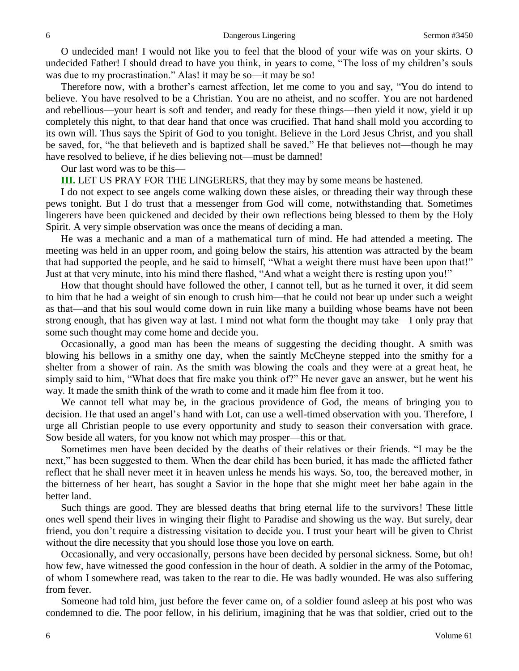O undecided man! I would not like you to feel that the blood of your wife was on your skirts. O undecided Father! I should dread to have you think, in years to come, "The loss of my children's souls was due to my procrastination." Alas! it may be so—it may be so!

Therefore now, with a brother's earnest affection, let me come to you and say, "You do intend to believe. You have resolved to be a Christian. You are no atheist, and no scoffer. You are not hardened and rebellious—your heart is soft and tender, and ready for these things—then yield it now, yield it up completely this night, to that dear hand that once was crucified. That hand shall mold you according to its own will. Thus says the Spirit of God to you tonight. Believe in the Lord Jesus Christ, and you shall be saved, for, "he that believeth and is baptized shall be saved." He that believes not—though he may have resolved to believe, if he dies believing not—must be damned!

Our last word was to be this—

**III.** LET US PRAY FOR THE LINGERERS, that they may by some means be hastened.

I do not expect to see angels come walking down these aisles, or threading their way through these pews tonight. But I do trust that a messenger from God will come, notwithstanding that. Sometimes lingerers have been quickened and decided by their own reflections being blessed to them by the Holy Spirit. A very simple observation was once the means of deciding a man.

He was a mechanic and a man of a mathematical turn of mind. He had attended a meeting. The meeting was held in an upper room, and going below the stairs, his attention was attracted by the beam that had supported the people, and he said to himself, "What a weight there must have been upon that!" Just at that very minute, into his mind there flashed, "And what a weight there is resting upon you!"

How that thought should have followed the other, I cannot tell, but as he turned it over, it did seem to him that he had a weight of sin enough to crush him—that he could not bear up under such a weight as that—and that his soul would come down in ruin like many a building whose beams have not been strong enough, that has given way at last. I mind not what form the thought may take—I only pray that some such thought may come home and decide you.

Occasionally, a good man has been the means of suggesting the deciding thought. A smith was blowing his bellows in a smithy one day, when the saintly McCheyne stepped into the smithy for a shelter from a shower of rain. As the smith was blowing the coals and they were at a great heat, he simply said to him, "What does that fire make you think of?" He never gave an answer, but he went his way. It made the smith think of the wrath to come and it made him flee from it too.

We cannot tell what may be, in the gracious providence of God, the means of bringing you to decision. He that used an angel's hand with Lot, can use a well-timed observation with you. Therefore, I urge all Christian people to use every opportunity and study to season their conversation with grace. Sow beside all waters, for you know not which may prosper—this or that.

Sometimes men have been decided by the deaths of their relatives or their friends. "I may be the next," has been suggested to them. When the dear child has been buried, it has made the afflicted father reflect that he shall never meet it in heaven unless he mends his ways. So, too, the bereaved mother, in the bitterness of her heart, has sought a Savior in the hope that she might meet her babe again in the better land.

Such things are good. They are blessed deaths that bring eternal life to the survivors! These little ones well spend their lives in winging their flight to Paradise and showing us the way. But surely, dear friend, you don't require a distressing visitation to decide you. I trust your heart will be given to Christ without the dire necessity that you should lose those you love on earth.

Occasionally, and very occasionally, persons have been decided by personal sickness. Some, but oh! how few, have witnessed the good confession in the hour of death. A soldier in the army of the Potomac, of whom I somewhere read, was taken to the rear to die. He was badly wounded. He was also suffering from fever.

Someone had told him, just before the fever came on, of a soldier found asleep at his post who was condemned to die. The poor fellow, in his delirium, imagining that he was that soldier, cried out to the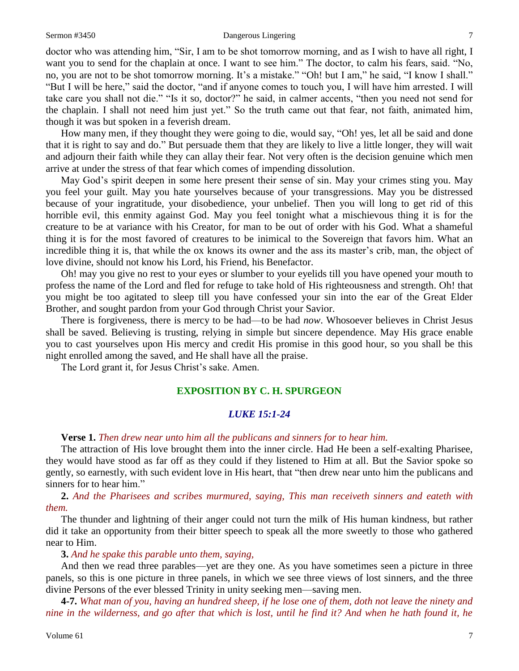#### Sermon #3450 **Dangerous Lingering** 7

doctor who was attending him, "Sir, I am to be shot tomorrow morning, and as I wish to have all right, I want you to send for the chaplain at once. I want to see him." The doctor, to calm his fears, said. "No, no, you are not to be shot tomorrow morning. It's a mistake." "Oh! but I am," he said, "I know I shall." "But I will be here," said the doctor, "and if anyone comes to touch you, I will have him arrested. I will take care you shall not die." "Is it so, doctor?" he said, in calmer accents, "then you need not send for the chaplain. I shall not need him just yet." So the truth came out that fear, not faith, animated him, though it was but spoken in a feverish dream.

How many men, if they thought they were going to die, would say, "Oh! yes, let all be said and done that it is right to say and do." But persuade them that they are likely to live a little longer, they will wait and adjourn their faith while they can allay their fear. Not very often is the decision genuine which men arrive at under the stress of that fear which comes of impending dissolution.

May God's spirit deepen in some here present their sense of sin. May your crimes sting you. May you feel your guilt. May you hate yourselves because of your transgressions. May you be distressed because of your ingratitude, your disobedience, your unbelief. Then you will long to get rid of this horrible evil, this enmity against God. May you feel tonight what a mischievous thing it is for the creature to be at variance with his Creator, for man to be out of order with his God. What a shameful thing it is for the most favored of creatures to be inimical to the Sovereign that favors him. What an incredible thing it is, that while the ox knows its owner and the ass its master's crib, man, the object of love divine, should not know his Lord, his Friend, his Benefactor.

Oh! may you give no rest to your eyes or slumber to your eyelids till you have opened your mouth to profess the name of the Lord and fled for refuge to take hold of His righteousness and strength. Oh! that you might be too agitated to sleep till you have confessed your sin into the ear of the Great Elder Brother, and sought pardon from your God through Christ your Savior.

There is forgiveness, there is mercy to be had—to be had *now*. Whosoever believes in Christ Jesus shall be saved. Believing is trusting, relying in simple but sincere dependence. May His grace enable you to cast yourselves upon His mercy and credit His promise in this good hour, so you shall be this night enrolled among the saved, and He shall have all the praise.

The Lord grant it, for Jesus Christ's sake. Amen.

## **EXPOSITION BY C. H. SPURGEON**

## *LUKE 15:1-24*

**Verse 1.** *Then drew near unto him all the publicans and sinners for to hear him.* 

The attraction of His love brought them into the inner circle. Had He been a self-exalting Pharisee, they would have stood as far off as they could if they listened to Him at all. But the Savior spoke so gently, so earnestly, with such evident love in His heart, that "then drew near unto him the publicans and sinners for to hear him."

**2.** *And the Pharisees and scribes murmured, saying, This man receiveth sinners and eateth with them.* 

The thunder and lightning of their anger could not turn the milk of His human kindness, but rather did it take an opportunity from their bitter speech to speak all the more sweetly to those who gathered near to Him.

**3.** *And he spake this parable unto them, saying,*

And then we read three parables—yet are they one. As you have sometimes seen a picture in three panels, so this is one picture in three panels, in which we see three views of lost sinners, and the three divine Persons of the ever blessed Trinity in unity seeking men—saving men.

**4-7.** *What man of you, having an hundred sheep, if he lose one of them, doth not leave the ninety and nine in the wilderness, and go after that which is lost, until he find it? And when he hath found it, he*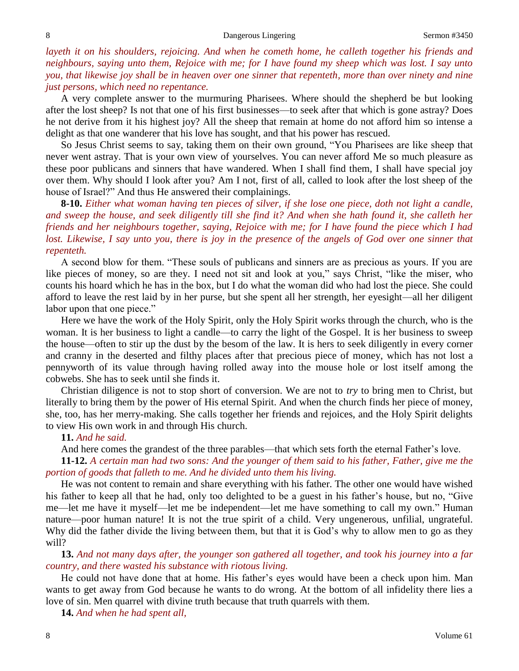*layeth it on his shoulders, rejoicing. And when he cometh home, he calleth together his friends and neighbours, saying unto them, Rejoice with me; for I have found my sheep which was lost. I say unto you, that likewise joy shall be in heaven over one sinner that repenteth, more than over ninety and nine just persons, which need no repentance.*

A very complete answer to the murmuring Pharisees. Where should the shepherd be but looking after the lost sheep? Is not that one of his first businesses—to seek after that which is gone astray? Does he not derive from it his highest joy? All the sheep that remain at home do not afford him so intense a delight as that one wanderer that his love has sought, and that his power has rescued.

So Jesus Christ seems to say, taking them on their own ground, "You Pharisees are like sheep that never went astray. That is your own view of yourselves. You can never afford Me so much pleasure as these poor publicans and sinners that have wandered. When I shall find them, I shall have special joy over them. Why should I look after you? Am I not, first of all, called to look after the lost sheep of the house of Israel?" And thus He answered their complainings.

**8-10.** *Either what woman having ten pieces of silver, if she lose one piece, doth not light a candle, and sweep the house, and seek diligently till she find it? And when she hath found it, she calleth her friends and her neighbours together, saying, Rejoice with me; for I have found the piece which I had lost. Likewise, I say unto you, there is joy in the presence of the angels of God over one sinner that repenteth.*

A second blow for them. "These souls of publicans and sinners are as precious as yours. If you are like pieces of money, so are they. I need not sit and look at you," says Christ, "like the miser, who counts his hoard which he has in the box, but I do what the woman did who had lost the piece. She could afford to leave the rest laid by in her purse, but she spent all her strength, her eyesight—all her diligent labor upon that one piece."

Here we have the work of the Holy Spirit, only the Holy Spirit works through the church, who is the woman. It is her business to light a candle—to carry the light of the Gospel. It is her business to sweep the house—often to stir up the dust by the besom of the law. It is hers to seek diligently in every corner and cranny in the deserted and filthy places after that precious piece of money, which has not lost a pennyworth of its value through having rolled away into the mouse hole or lost itself among the cobwebs. She has to seek until she finds it.

Christian diligence is not to stop short of conversion. We are not to *try* to bring men to Christ, but literally to bring them by the power of His eternal Spirit. And when the church finds her piece of money, she, too, has her merry-making. She calls together her friends and rejoices, and the Holy Spirit delights to view His own work in and through His church.

## **11.** *And he said.*

And here comes the grandest of the three parables—that which sets forth the eternal Father's love.

**11-12.** *A certain man had two sons: And the younger of them said to his father, Father, give me the portion of goods that falleth to me. And he divided unto them his living.* 

He was not content to remain and share everything with his father. The other one would have wished his father to keep all that he had, only too delighted to be a guest in his father's house, but no, "Give me—let me have it myself—let me be independent—let me have something to call my own." Human nature—poor human nature! It is not the true spirit of a child. Very ungenerous, unfilial, ungrateful. Why did the father divide the living between them, but that it is God's why to allow men to go as they will?

**13.** *And not many days after, the younger son gathered all together, and took his journey into a far country, and there wasted his substance with riotous living.* 

He could not have done that at home. His father's eyes would have been a check upon him. Man wants to get away from God because he wants to do wrong. At the bottom of all infidelity there lies a love of sin. Men quarrel with divine truth because that truth quarrels with them.

**14.** *And when he had spent all,*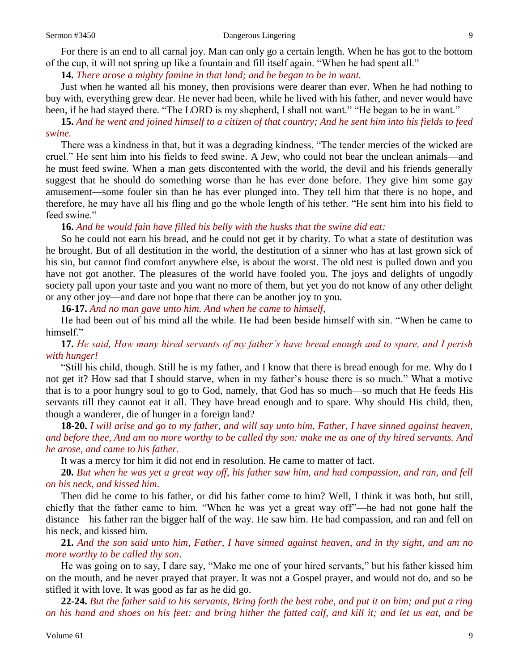For there is an end to all carnal joy. Man can only go a certain length. When he has got to the bottom of the cup, it will not spring up like a fountain and fill itself again. "When he had spent all."

**14.** *There arose a mighty famine in that land; and he began to be in want.* 

Just when he wanted all his money, then provisions were dearer than ever. When he had nothing to buy with, everything grew dear. He never had been, while he lived with his father, and never would have been, if he had stayed there. "The LORD is my shepherd, I shall not want." "He began to be in want."

**15.** *And he went and joined himself to a citizen of that country; And he sent him into his fields to feed swine.* 

There was a kindness in that, but it was a degrading kindness. "The tender mercies of the wicked are cruel." He sent him into his fields to feed swine. A Jew, who could not bear the unclean animals—and he must feed swine. When a man gets discontented with the world, the devil and his friends generally suggest that he should do something worse than he has ever done before. They give him some gay amusement—some fouler sin than he has ever plunged into. They tell him that there is no hope, and therefore, he may have all his fling and go the whole length of his tether. "He sent him into his field to feed swine."

**16.** *And he would fain have filled his belly with the husks that the swine did eat:*

So he could not earn his bread, and he could not get it by charity. To what a state of destitution was he brought. But of all destitution in the world, the destitution of a sinner who has at last grown sick of his sin, but cannot find comfort anywhere else, is about the worst. The old nest is pulled down and you have not got another. The pleasures of the world have fooled you. The joys and delights of ungodly society pall upon your taste and you want no more of them, but yet you do not know of any other delight or any other joy—and dare not hope that there can be another joy to you.

**16-17.** *And no man gave unto him. And when he came to himself,*

He had been out of his mind all the while. He had been beside himself with sin. "When he came to himself."

**17.** *He said, How many hired servants of my father's have bread enough and to spare, and I perish with hunger!*

"Still his child, though. Still he is my father, and I know that there is bread enough for me. Why do I not get it? How sad that I should starve, when in my father's house there is so much." What a motive that is to a poor hungry soul to go to God, namely, that God has so much—so much that He feeds His servants till they cannot eat it all. They have bread enough and to spare. Why should His child, then, though a wanderer, die of hunger in a foreign land?

**18-20.** *I will arise and go to my father, and will say unto him, Father, I have sinned against heaven, and before thee, And am no more worthy to be called thy son: make me as one of thy hired servants. And he arose, and came to his father.*

It was a mercy for him it did not end in resolution. He came to matter of fact.

**20.** *But when he was yet a great way off, his father saw him, and had compassion, and ran, and fell on his neck, and kissed him.*

Then did he come to his father, or did his father come to him? Well, I think it was both, but still, chiefly that the father came to him. "When he was yet a great way off"—he had not gone half the distance—his father ran the bigger half of the way. He saw him. He had compassion, and ran and fell on his neck, and kissed him.

**21.** *And the son said unto him, Father, I have sinned against heaven, and in thy sight, and am no more worthy to be called thy son*.

He was going on to say, I dare say, "Make me one of your hired servants," but his father kissed him on the mouth, and he never prayed that prayer. It was not a Gospel prayer, and would not do, and so he stifled it with love. It was good as far as he did go.

**22-24.** *But the father said to his servants, Bring forth the best robe, and put it on him; and put a ring on his hand and shoes on his feet: and bring hither the fatted calf, and kill it; and let us eat, and be*